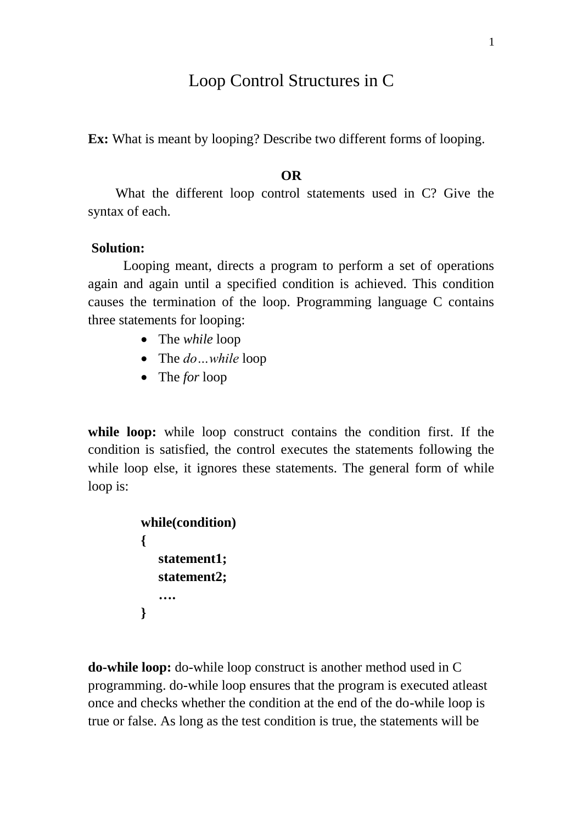# Loop Control Structures in C

**Ex:** What is meant by looping? Describe two different forms of looping.

### **OR**

 What the different loop control statements used in C? Give the syntax of each.

#### **Solution:**

Looping meant, directs a program to perform a set of operations again and again until a specified condition is achieved. This condition causes the termination of the loop. Programming language C contains three statements for looping:

- The *while* loop
- The *do…while* loop
- The *for* loop

**while loop:** while loop construct contains the condition first. If the condition is satisfied, the control executes the statements following the while loop else, it ignores these statements. The general form of while loop is:

```
while(condition)
{
   statement1;
   statement2;
   …. 
}
```
**do-while loop:** do-while loop construct is another method used in C programming. do-while loop ensures that the program is executed atleast once and checks whether the condition at the end of the do-while loop is true or false. As long as the test condition is true, the statements will be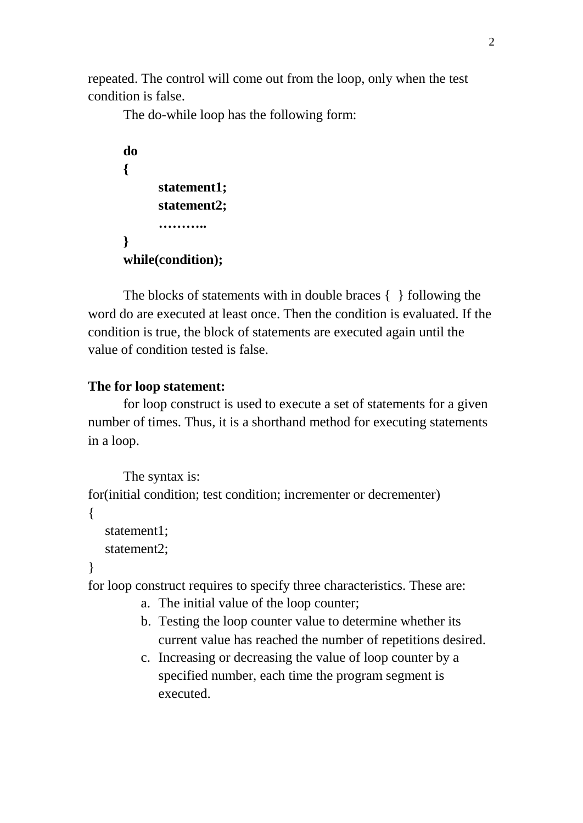repeated. The control will come out from the loop, only when the test condition is false.

The do-while loop has the following form:

```
do 
{
     statement1;
     statement2;
      ………..
}
while(condition);
```
The blocks of statements with in double braces { } following the word do are executed at least once. Then the condition is evaluated. If the condition is true, the block of statements are executed again until the value of condition tested is false.

## **The for loop statement:**

for loop construct is used to execute a set of statements for a given number of times. Thus, it is a shorthand method for executing statements in a loop.

```
The syntax is:
for(initial condition; test condition; incrementer or decrementer)
{
    statement1;
    statement2;
```
}

for loop construct requires to specify three characteristics. These are:

- a. The initial value of the loop counter;
- b. Testing the loop counter value to determine whether its current value has reached the number of repetitions desired.
- c. Increasing or decreasing the value of loop counter by a specified number, each time the program segment is executed.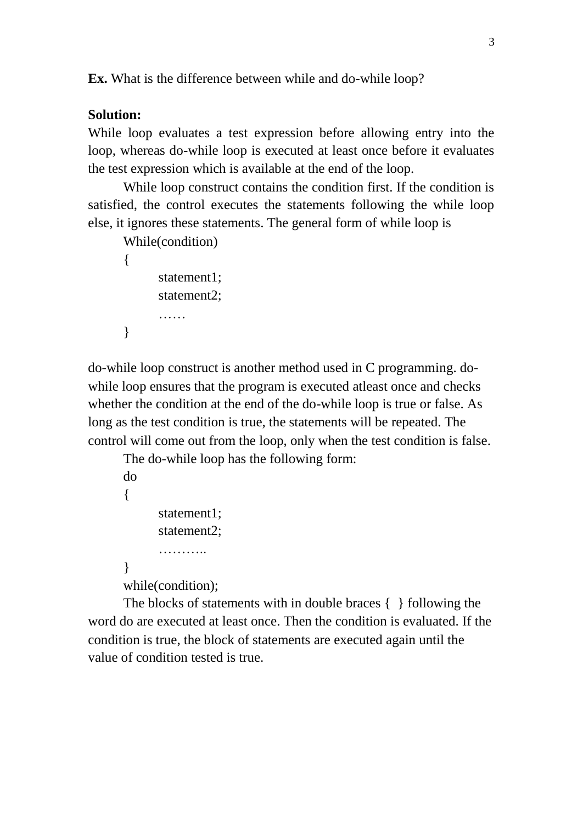**Ex.** What is the difference between while and do-while loop?

## **Solution:**

While loop evaluates a test expression before allowing entry into the loop, whereas do-while loop is executed at least once before it evaluates the test expression which is available at the end of the loop.

While loop construct contains the condition first. If the condition is satisfied, the control executes the statements following the while loop else, it ignores these statements. The general form of while loop is

```
While(condition)
```

```
{
     statement1;
     statement2;
     ……
```
}

do-while loop construct is another method used in C programming. dowhile loop ensures that the program is executed atleast once and checks whether the condition at the end of the do-while loop is true or false. As long as the test condition is true, the statements will be repeated. The control will come out from the loop, only when the test condition is false.

The do-while loop has the following form:

```
do 
{
      statement1;
      statement2;
      …………
}
```
while(condition);

The blocks of statements with in double braces { } following the word do are executed at least once. Then the condition is evaluated. If the condition is true, the block of statements are executed again until the value of condition tested is true.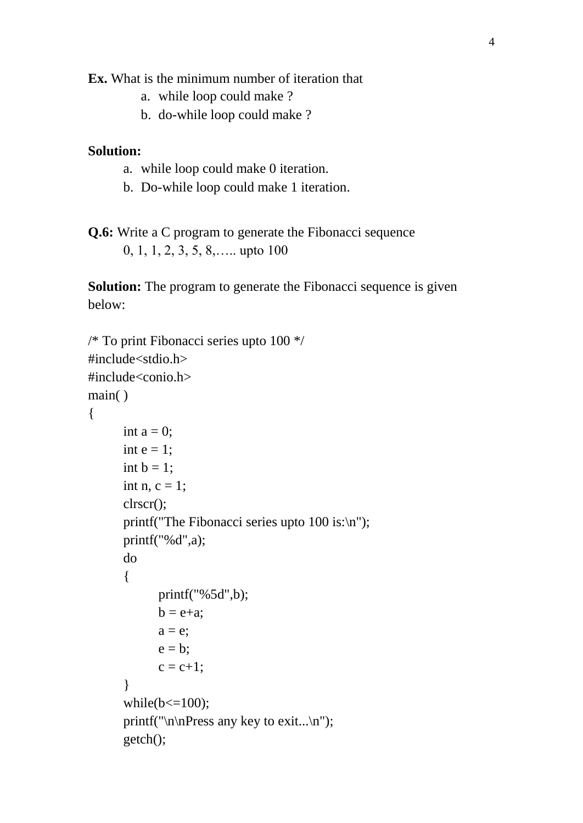**Ex.** What is the minimum number of iteration that

- a. while loop could make ?
- b. do-while loop could make ?

### **Solution:**

- a. while loop could make 0 iteration.
- b. Do-while loop could make 1 iteration.

**Q.6:** Write a C program to generate the Fibonacci sequence 0, 1, 1, 2, 3, 5, 8,….. upto 100

**Solution:** The program to generate the Fibonacci sequence is given below:

```
/* To print Fibonacci series upto 100 */
#include<stdio.h>
#include<conio.h>
main( )
{
       int a = 0;
       int e = 1;
       int b = 1;
       int n, c = 1;
       clrscr();
       printf("The Fibonacci series upto 100 is:\n");
       printf("%d",a);
       do
       {
              printf("%5d",b);
              b = e + a;
              a = e;
              e = b;
              c = c + 1;}
       while(b \leq 100);
       printf("\ln\left(\frac{\text{m}}{\text{m}}\right) any key to exit...\ln");
       getch();
```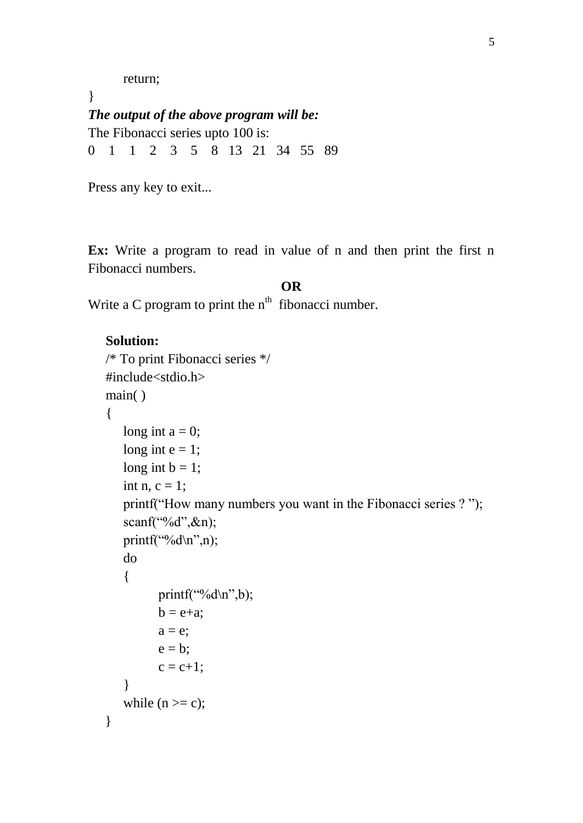return;

} *The output of the above program will be:* The Fibonacci series upto 100 is: 0 1 1 2 3 5 8 13 21 34 55 89

Press any key to exit...

**Ex:** Write a program to read in value of n and then print the first n Fibonacci numbers.

**OR**

Write a C program to print the  $n<sup>th</sup>$  fibonacci number.

### **Solution:**

```
/* To print Fibonacci series */
#include<stdio.h>
main( )
{
   long int a = 0;
   long int e = 1;
   long int b = 1;
   int n, c = 1;
   printf("How many numbers you want in the Fibonacci series ?");
   scanf("%d",&n);
   printf("%d\n",n);
   do
   {
         printf("%d\n",b);
         b = e+a;a = e;
         e = b;
         c = c + 1;}
   while (n \geq c);
 }
```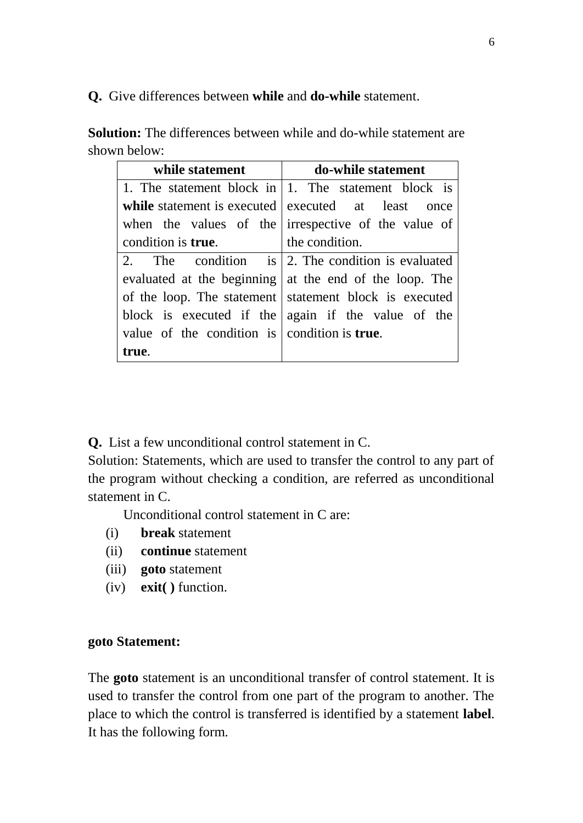**Q.** Give differences between **while** and **do-while** statement.

**Solution:** The differences between while and do-while statement are shown below:

| while statement                                          | do-while statement                                          |  |
|----------------------------------------------------------|-------------------------------------------------------------|--|
|                                                          | 1. The statement block in 1. The statement block is         |  |
|                                                          | while statement is executed at least once                   |  |
|                                                          | when the values of the irrespective of the value of         |  |
| condition is <b>true</b> .                               | the condition.                                              |  |
|                                                          | 2. The condition is $ 2$ . The condition is evaluated       |  |
|                                                          | evaluated at the beginning at the end of the loop. The      |  |
|                                                          | of the loop. The statement statement block is executed      |  |
|                                                          | block is executed if the $\alpha$ again if the value of the |  |
| value of the condition is $ $ condition is <b>true</b> . |                                                             |  |
| true.                                                    |                                                             |  |

**Q.** List a few unconditional control statement in C.

Solution: Statements, which are used to transfer the control to any part of the program without checking a condition, are referred as unconditional statement in C.

Unconditional control statement in C are:

- (i) **break** statement
- (ii) **continue** statement
- (iii) **goto** statement
- (iv) **exit( )** function.

### **goto Statement:**

The **goto** statement is an unconditional transfer of control statement. It is used to transfer the control from one part of the program to another. The place to which the control is transferred is identified by a statement **label**. It has the following form.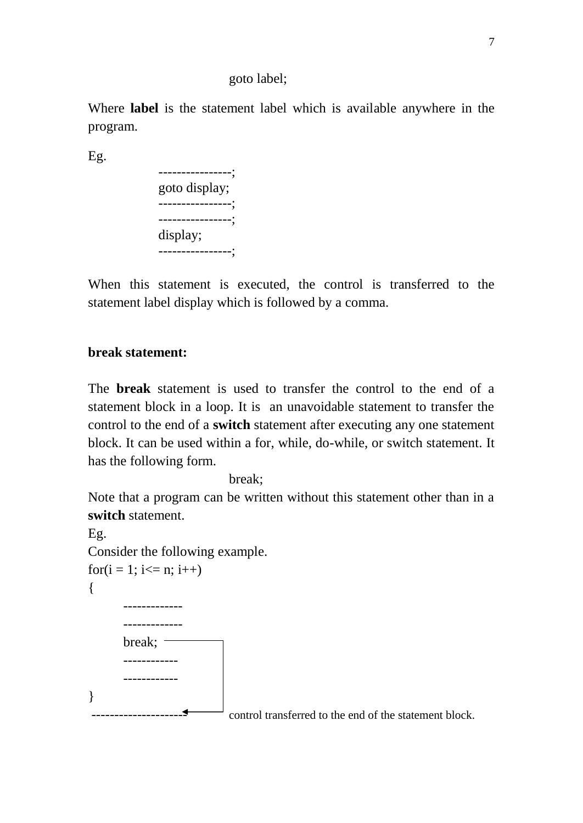### goto label;

Where **label** is the statement label which is available anywhere in the program.

Eg.

| goto display; |
|---------------|
|               |
|               |
| display;      |
|               |

When this statement is executed, the control is transferred to the statement label display which is followed by a comma.

## **break statement:**

The **break** statement is used to transfer the control to the end of a statement block in a loop. It is an unavoidable statement to transfer the control to the end of a **switch** statement after executing any one statement block. It can be used within a for, while, do-while, or switch statement. It has the following form.

break;

Note that a program can be written without this statement other than in a **switch** statement.

```
Eg. 
Consider the following example.
for(i = 1; i \le n; i + j)
{
        -------------
       -------------
       break; -------------
       ------------
}
                --------------------- control transferred to the end of the statement block.
```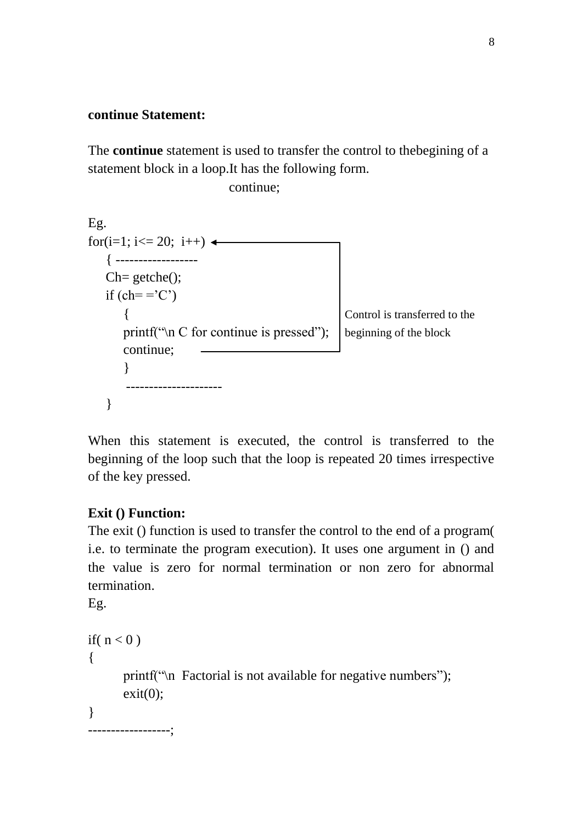## **continue Statement:**

The **continue** statement is used to transfer the control to thebegining of a statement block in a loop.It has the following form.

continue;

```
Eg. 
for(i=1; i\le 20; i++) \leftarrow{ ------------------
   Ch = getche;
   if (ch = "C"){ Control is transferred to the 
      printf("\n C for continue is pressed"); \vert beginning of the block
      continue;
      }
        ---------------------
   }
```
When this statement is executed, the control is transferred to the beginning of the loop such that the loop is repeated 20 times irrespective of the key pressed.

## **Exit () Function:**

The exit () function is used to transfer the control to the end of a program( i.e. to terminate the program execution). It uses one argument in () and the value is zero for normal termination or non zero for abnormal termination.

Eg.

```
if(n < 0)
{
      printf("\n Factorial is not available for negative numbers");
      exit(0);}
------------------;
```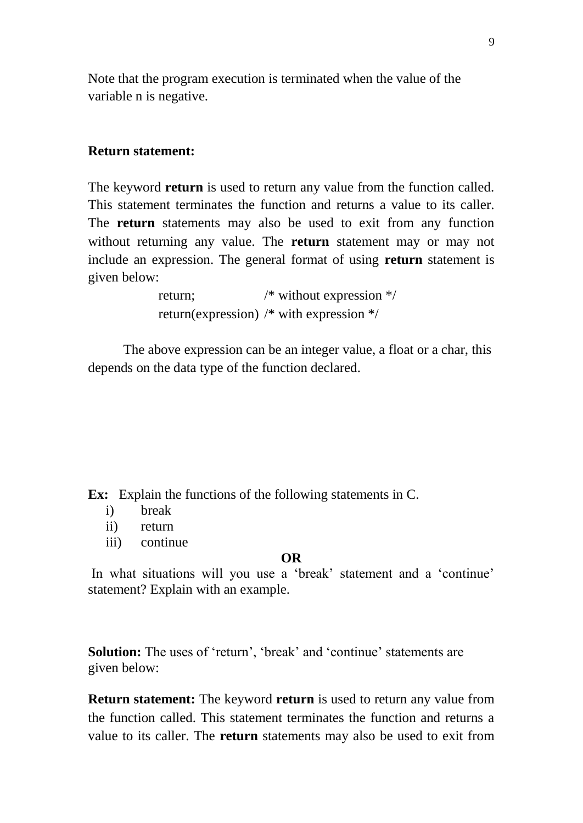Note that the program execution is terminated when the value of the variable n is negative.

#### **Return statement:**

The keyword **return** is used to return any value from the function called. This statement terminates the function and returns a value to its caller. The **return** statements may also be used to exit from any function without returning any value. The **return** statement may or may not include an expression. The general format of using **return** statement is given below:

> return; /\* without expression \*/ return(expression) /\* with expression \*/

The above expression can be an integer value, a float or a char, this depends on the data type of the function declared.

**Ex:** Explain the functions of the following statements in C.

- i) break
- ii) return
- iii) continue

#### **OR**

In what situations will you use a 'break' statement and a 'continue' statement? Explain with an example.

**Solution:** The uses of 'return', 'break' and 'continue' statements are given below:

**Return statement:** The keyword **return** is used to return any value from the function called. This statement terminates the function and returns a value to its caller. The **return** statements may also be used to exit from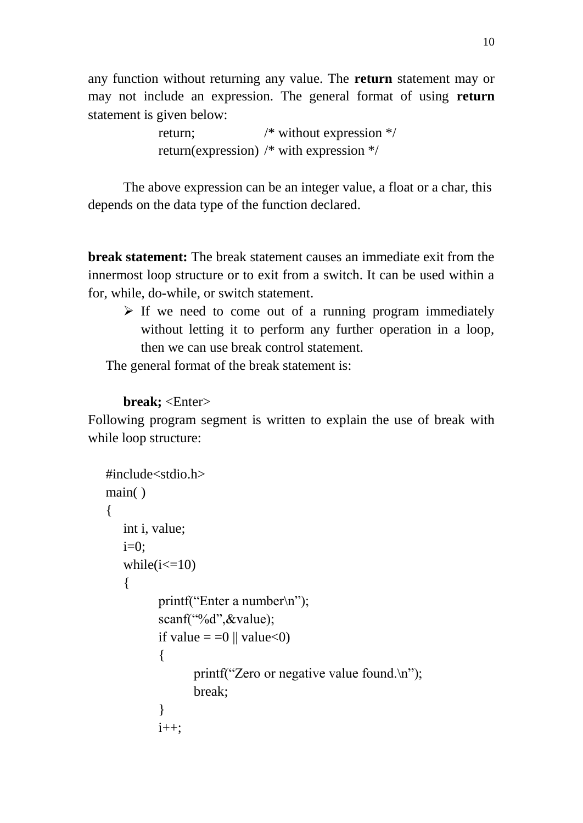any function without returning any value. The **return** statement may or may not include an expression. The general format of using **return** statement is given below:

> return; /\* without expression \*/ return(expression) /\* with expression \*/

The above expression can be an integer value, a float or a char, this depends on the data type of the function declared.

**break statement:** The break statement causes an immediate exit from the innermost loop structure or to exit from a switch. It can be used within a for, while, do-while, or switch statement.

 $\triangleright$  If we need to come out of a running program immediately without letting it to perform any further operation in a loop, then we can use break control statement.

The general format of the break statement is:

### **break;** <Enter>

Following program segment is written to explain the use of break with while loop structure:

```
#include<stdio.h>
main( )
{
   int i, value;
   i=0;
   while(i<=10){
          printf("Enter a number\n");
          scanf("%d",&value);
          if value = = \theta || value < \theta)
          \{printf("Zero or negative value found.\n");
                 break;
          }
          i++;
```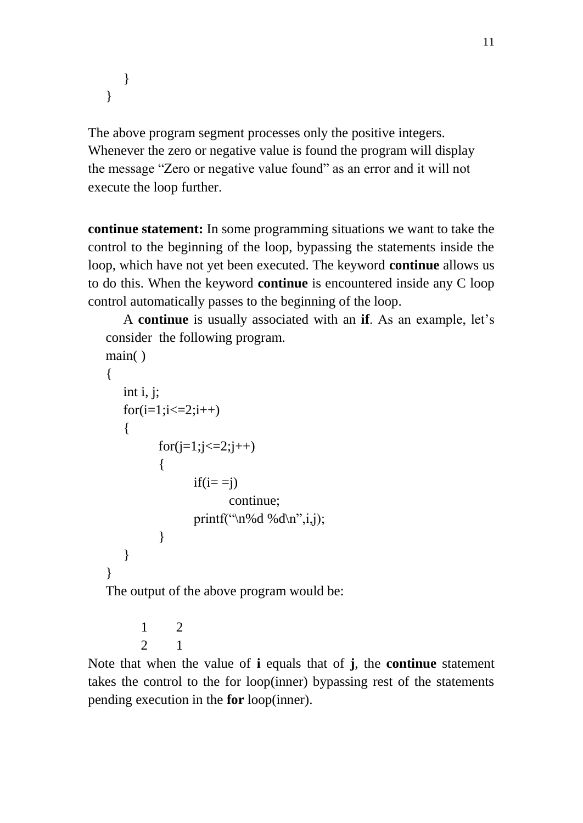} }

The above program segment processes only the positive integers. Whenever the zero or negative value is found the program will display the message "Zero or negative value found" as an error and it will not execute the loop further.

**continue statement:** In some programming situations we want to take the control to the beginning of the loop, bypassing the statements inside the loop, which have not yet been executed. The keyword **continue** allows us to do this. When the keyword **continue** is encountered inside any C loop control automatically passes to the beginning of the loop.

A **continue** is usually associated with an **if**. As an example, let"s consider the following program.

```
main( )
{
   int i, j;
   for (i=1; i<=2; i++){
          for (i=1; i<=2; i++){
                if(i = j)continue;
                printf("\n%d %d\n",i,j);
          }
   }
}
The output of the above program would be:
```

```
1 2
2 1
```
Note that when the value of **i** equals that of **j**, the **continue** statement takes the control to the for loop(inner) bypassing rest of the statements pending execution in the **for** loop(inner).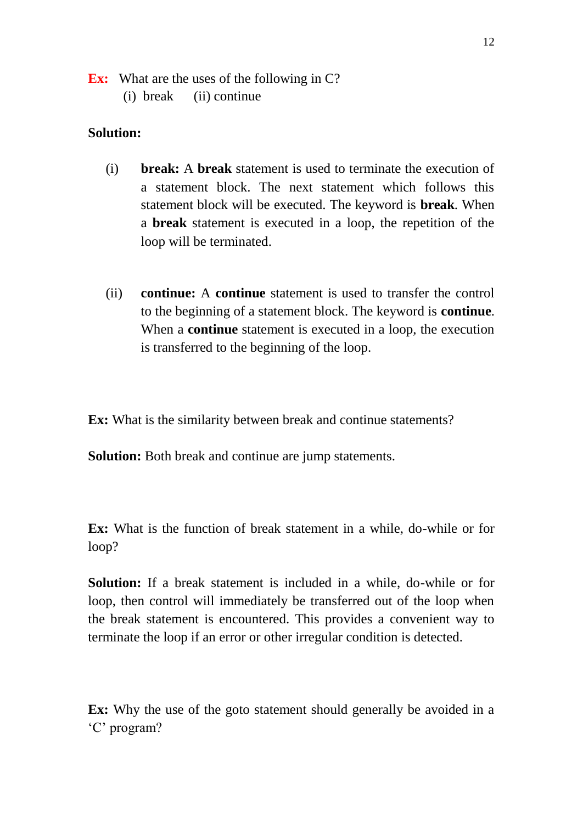**Ex:** What are the uses of the following in C?

(i) break (ii) continue

## **Solution:**

- (i) **break:** A **break** statement is used to terminate the execution of a statement block. The next statement which follows this statement block will be executed. The keyword is **break**. When a **break** statement is executed in a loop, the repetition of the loop will be terminated.
- (ii) **continue:** A **continue** statement is used to transfer the control to the beginning of a statement block. The keyword is **continue**. When a **continue** statement is executed in a loop, the execution is transferred to the beginning of the loop.

**Ex:** What is the similarity between break and continue statements?

**Solution:** Both break and continue are jump statements.

**Ex:** What is the function of break statement in a while, do-while or for loop?

**Solution:** If a break statement is included in a while, do-while or for loop, then control will immediately be transferred out of the loop when the break statement is encountered. This provides a convenient way to terminate the loop if an error or other irregular condition is detected.

**Ex:** Why the use of the goto statement should generally be avoided in a "C" program?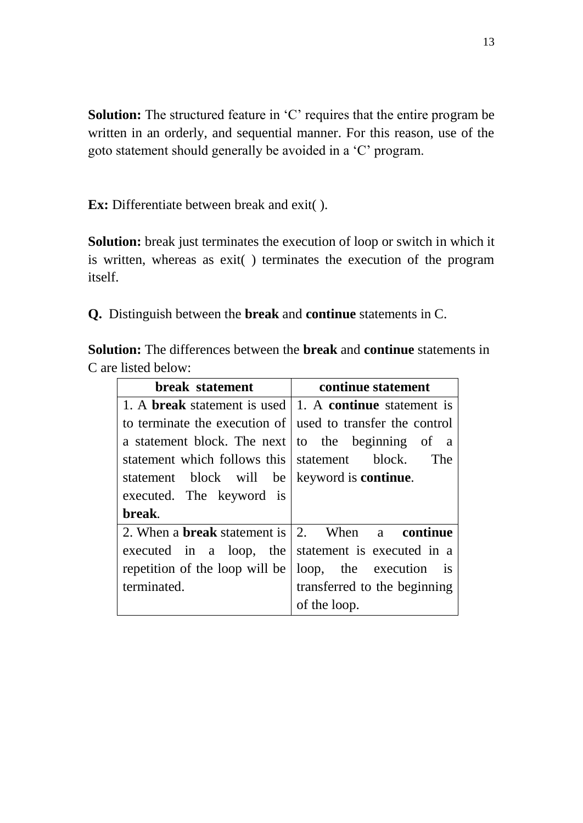**Solution:** The structured feature in 'C' requires that the entire program be written in an orderly, and sequential manner. For this reason, use of the goto statement should generally be avoided in a "C" program.

**Ex:** Differentiate between break and exit( ).

**Solution:** break just terminates the execution of loop or switch in which it is written, whereas as exit( ) terminates the execution of the program itself.

**Q.** Distinguish between the **break** and **continue** statements in C.

**Solution:** The differences between the **break** and **continue** statements in C are listed below:

| break statement                                                                                   | continue statement           |  |  |
|---------------------------------------------------------------------------------------------------|------------------------------|--|--|
| 1. A <b>break</b> statement is used $\vert$ 1. A <b>continue</b> statement is                     |                              |  |  |
| to terminate the execution of used to transfer the control                                        |                              |  |  |
| a statement block. The next to the beginning of a                                                 |                              |  |  |
| statement which follows this statement block.                                                     | The                          |  |  |
| statement block will be keyword is <b>continue</b> .                                              |                              |  |  |
| executed. The keyword is                                                                          |                              |  |  |
| break.                                                                                            |                              |  |  |
| 2. When a <b>break</b> statement is $\begin{bmatrix} 2 \\ 2 \end{bmatrix}$ When a <b>continue</b> |                              |  |  |
| executed in a loop, the statement is executed in a                                                |                              |  |  |
| repetition of the loop will be $\vert$ loop, the execution is                                     |                              |  |  |
| terminated.                                                                                       | transferred to the beginning |  |  |
|                                                                                                   | of the loop.                 |  |  |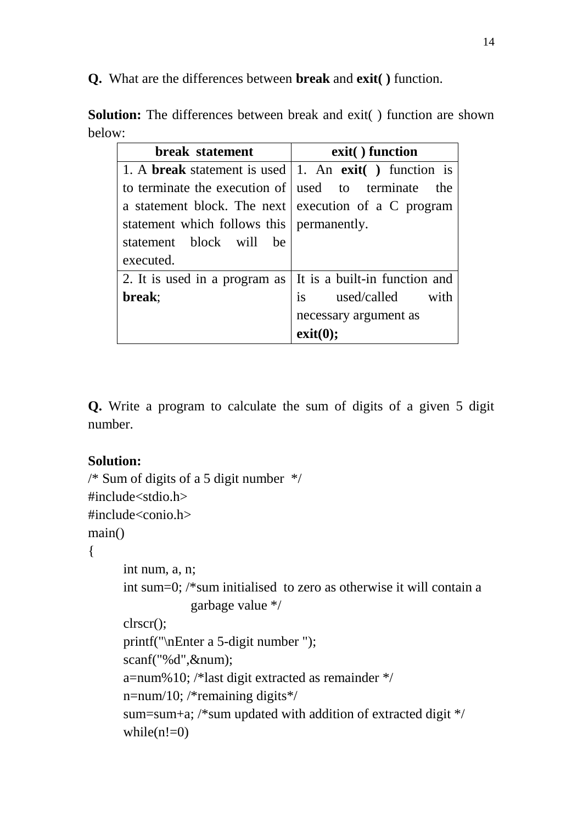**Q.** What are the differences between **break** and **exit( )** function.

**Solution:** The differences between break and exit( ) function are shown below:

| break statement                                                  | exit() function               |
|------------------------------------------------------------------|-------------------------------|
| 1. A <b>break</b> statement is used   1. An $exit()$ function is |                               |
| to terminate the execution of used to terminate the              |                               |
| a statement block. The next execution of a C program             |                               |
| statement which follows this permanently.                        |                               |
| statement block will be                                          |                               |
| executed.                                                        |                               |
| 2. It is used in a program as                                    | It is a built-in function and |
| break;                                                           | used/called<br>with<br>1S     |
|                                                                  | necessary argument as         |
|                                                                  | exit(0);                      |

**Q.** Write a program to calculate the sum of digits of a given 5 digit number.

## **Solution:**

```
/* Sum of digits of a 5 digit number \frac{*}{ }#include<stdio.h>
#include<conio.h>
main()
{
      int num, a, n;
      int sum=0; /*sum initialised to zero as otherwise it will contain a 
                   garbage value */
      clrscr();
      printf("\nEnter a 5-digit number ");
      scanf("%d",&num);
      a=num%10; /*last digit extracted as remainder */
      n=num/10; /*remaining digits*/
      sum=sum+a; /*sum updated with addition of extracted digit */
      while(n!=0)
```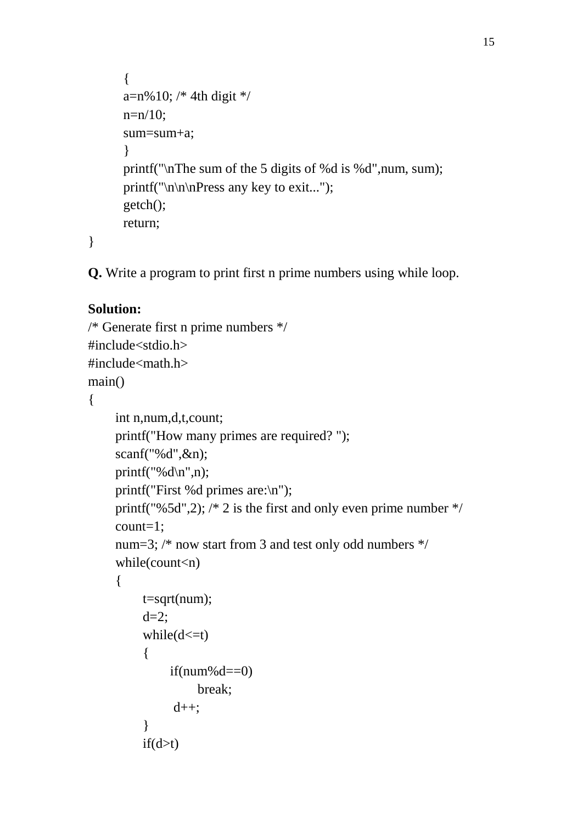```
{
a=n\%10; /* 4th digit */
n=n/10;
sum=sum+a;
}
printf("\nThe sum of the 5 digits of %d is %d",num, sum);
printf("\n\n\nPress any key to exit...");
getch();
return;
```
}

**Q.** Write a program to print first n prime numbers using while loop.

## **Solution:**

```
/* Generate first n prime numbers */
#include<stdio.h>
#include<math.h>
main()
{
      int n,num,d,t,count;
      printf("How many primes are required? ");
      scanf("%d",&n);
     printf("%d\n\ranglen",n);
      printf("First %d primes are:\n");
     printf("%5d",2); /* 2 is the first and only even prime number */ count=1;
      num=3; /* now start from 3 and test only odd numbers */
     while(count<n)
      {
           t=sqrt(num);
          d=2;
          whiled \leq t) {
               if(num\%d==0) break;
               d++; }
          if(d>t)
```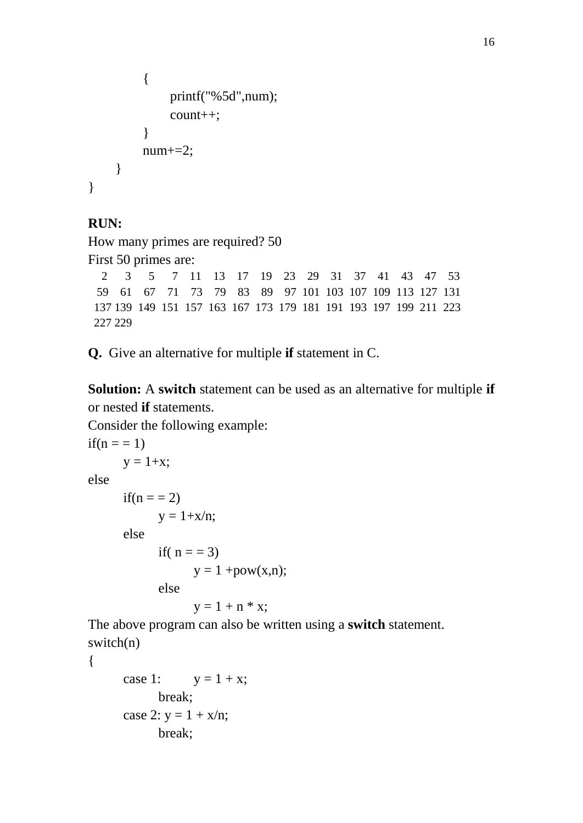```
 {
             printf("%5d",num);
             count++;
 }
        num+=2;
     }
}
```
## **RUN:**

How many primes are required? 50

First 50 primes are:

 2 3 5 7 11 13 17 19 23 29 31 37 41 43 47 53 59 61 67 71 73 79 83 89 97 101 103 107 109 113 127 131 137 139 149 151 157 163 167 173 179 181 191 193 197 199 211 223 227 229

**Q.** Give an alternative for multiple **if** statement in C.

**Solution:** A **switch** statement can be used as an alternative for multiple **if** or nested **if** statements.

Consider the following example:

```
if(n == 1)y = 1+x;else
      if(n == 2)y = 1+x/n;else
            if( n = 3)
                  y = 1 + pow(x,n);else
                  y = 1 + n * x;The above program can also be written using a switch statement.
switch(n)
{
      case 1: y = 1 + x;
            break;
      case 2: y = 1 + x/n;
```
break;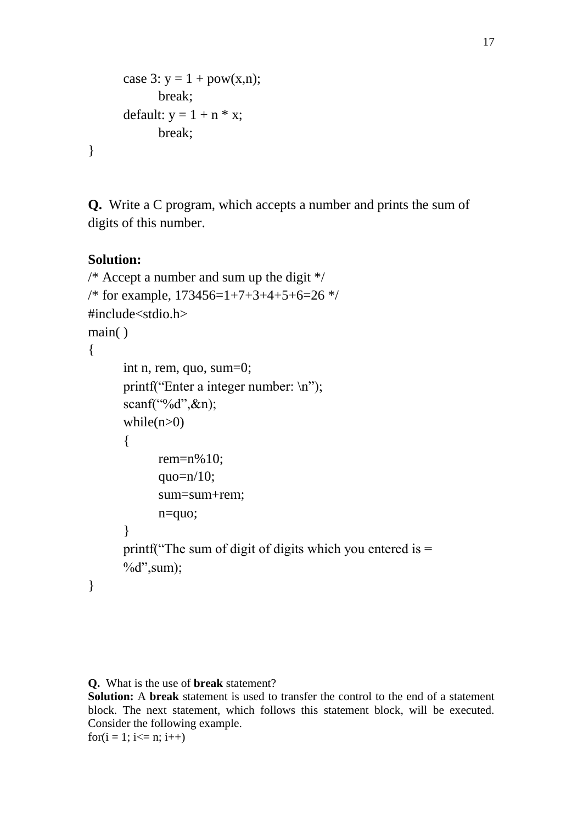```
case 3: y = 1 + pow(x, n);break;
      default: y = 1 + n * x;
            break;
}
```
**Q.** Write a C program, which accepts a number and prints the sum of digits of this number.

## **Solution:**

```
/* Accept a number and sum up the digit */
/* for example, 173456=1+7+3+4+5+6=26 */
#include<stdio.h>
main( )
{
      int n, rem, quo, sum=0;
      printf("Enter a integer number: \n");
      scanf("%d",&n);
      while(n>0){
            rem=n%10;
            quo=n/10;
            sum=sum+rem;
            n=quo;
      }
      printf("The sum of digit of digits which you entered is = 
      %d",sum);
}
```
#### **Q.** What is the use of **break** statement?

**Solution:** A **break** statement is used to transfer the control to the end of a statement block. The next statement, which follows this statement block, will be executed. Consider the following example. for( $i = 1$ ;  $i \le n$ ;  $i$ ++)